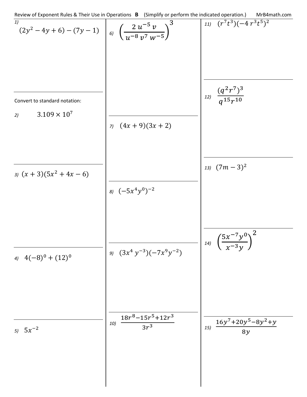Review of Exponent Rules & Their Use in Operations **B** (Simplify or perform the indicated operation.) MrB4math.com *1)*  $(2y^2 - 4y + 6) - (7y - 1)$ Convert to standard notation: 2)  $3.109 \times 10^7$ *3)*  $(x + 3)(5x^2 + 4x - 6)$  $4(–8)^0 + (12)^0$ *5)*  $5x^{-2}$  $\binom{2 \ u^{-5} \ v}{u^{-8} \ v^7 \ w^{-5}}$ 3 *7*)  $(4x + 9)(3x + 2)$ *8)*  $(-5x^4y^0)^{-2}$ *9)*  $(3x^4y^{-3})(-7x^9y^{-2})$  $\frac{18r^8 - 15r^5 + 12r^3}{6r^3}$  $3r<sup>3</sup>$  $11)$   $(r^7t^3)(-4r^3t^5)^2$  $\frac{(q^2r^7)^3}{(15)(10)}$  $q^{15}r^{10}$ *13)*  $(7m - 3)^2$ *14)* �  $5x^{-7}y^0$  $\frac{y}{(x-3y)}$ 2  $\frac{16y^7+20y^5-8y^2+y}{2}$ 8 y